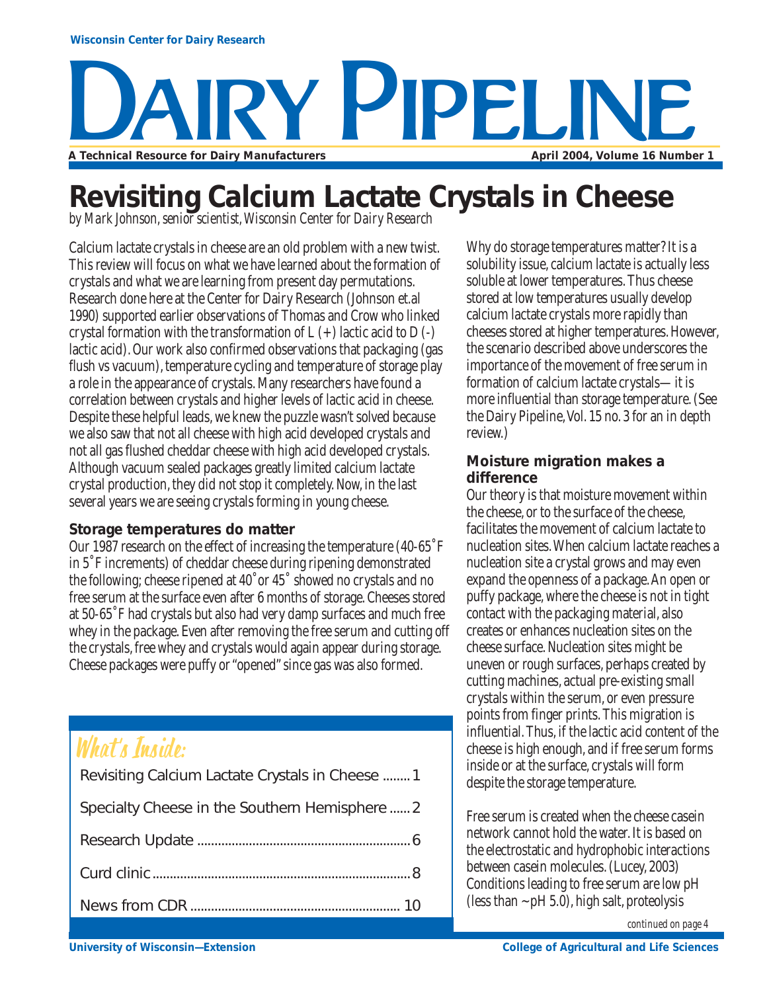## Wisconsin Ce **A Technical Resource for Dairy Manufacturers av Pipeline** April 2004, Volume 16 Number 1

## **Revisiting Calcium Lactate Crystals in Cheese**

*by Mark Johnson, senior scientist, Wisconsin Center for Dairy Research*

Calcium lactate crystals in cheese are an old problem with a new twist. This review will focus on what we have learned about the formation of crystals and what we are learning from present day permutations. Research done here at the Center for Dairy Research (Johnson et.al 1990) supported earlier observations of Thomas and Crow who linked crystal formation with the transformation of  $L (+)$  lactic acid to  $D (-)$ lactic acid). Our work also confirmed observations that packaging (gas flush vs vacuum), temperature cycling and temperature of storage play a role in the appearance of crystals. Many researchers have found a correlation between crystals and higher levels of lactic acid in cheese. Despite these helpful leads, we knew the puzzle wasn't solved because we also saw that not all cheese with high acid developed crystals and not all gas flushed cheddar cheese with high acid developed crystals. Although vacuum sealed packages greatly limited calcium lactate crystal production, they did not stop it completely. Now, in the last several years we are seeing crystals forming in young cheese.

### **Storage temperatures do matter**

Our 1987 research on the effect of increasing the temperature (40-65˚F in 5˚F increments) of cheddar cheese during ripening demonstrated the following; cheese ripened at 40˚or 45˚ showed no crystals and no free serum at the surface even after 6 months of storage. Cheeses stored at 50-65˚F had crystals but also had very damp surfaces and much free whey in the package. Even after removing the free serum and cutting off the crystals, free whey and crystals would again appear during storage. Cheese packages were puffy or "opened" since gas was also formed.

### What's Inside:

| Revisiting Calcium Lactate Crystals in Cheese  1 |
|--------------------------------------------------|
| Specialty Cheese in the Southern Hemisphere  2   |
|                                                  |
|                                                  |
|                                                  |
|                                                  |

Why do storage temperatures matter? It is a solubility issue, calcium lactate is actually less soluble at lower temperatures. Thus cheese stored at low temperatures usually develop calcium lactate crystals more rapidly than cheeses stored at higher temperatures. However, the scenario described above underscores the importance of the movement of free serum in formation of calcium lactate crystals—it is more influential than storage temperature. (See the Dairy Pipeline, Vol. 15 no. 3 for an in depth review.)

### **Moisture migration makes a difference**

Our theory is that moisture movement within the cheese, or to the surface of the cheese, facilitates the movement of calcium lactate to nucleation sites. When calcium lactate reaches a nucleation site a crystal grows and may even expand the openness of a package. An open or puffy package, where the cheese is not in tight contact with the packaging material, also creates or enhances nucleation sites on the cheese surface. Nucleation sites might be uneven or rough surfaces, perhaps created by cutting machines, actual pre-existing small crystals within the serum, or even pressure points from finger prints. This migration is influential. Thus, if the lactic acid content of the cheese is high enough, and if free serum forms inside or at the surface, crystals will form despite the storage temperature.

Free serum is created when the cheese casein network cannot hold the water. It is based on the electrostatic and hydrophobic interactions between casein molecules. (Lucey, 2003) Conditions leading to free serum are low pH (less than  $\sim$  pH 5.0), high salt, proteolysis

*continued on page 4*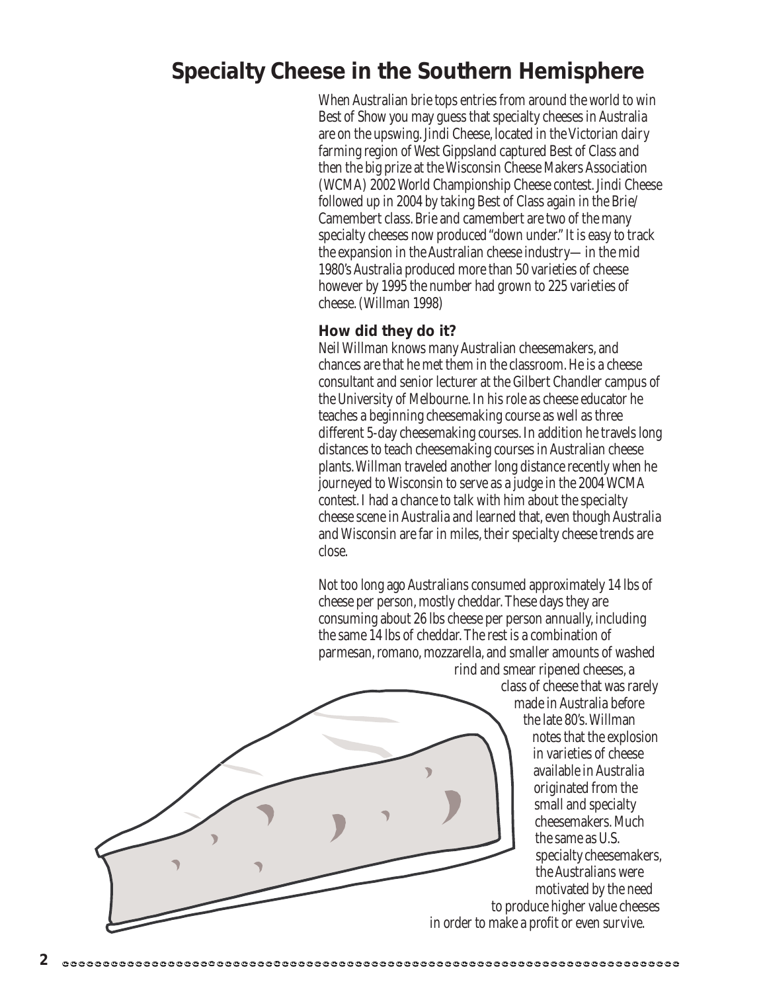### **Specialty Cheese in the Southern Hemisphere**

When Australian brie tops entries from around the world to win Best of Show you may guess that specialty cheeses in Australia are on the upswing. Jindi Cheese, located in the Victorian dairy farming region of West Gippsland captured Best of Class and then the big prize at the Wisconsin Cheese Makers Association (WCMA) 2002 World Championship Cheese contest. Jindi Cheese followed up in 2004 by taking Best of Class again in the Brie/ Camembert class. Brie and camembert are two of the many specialty cheeses now produced "down under." It is easy to track the expansion in the Australian cheese industry—in the mid 1980's Australia produced more than 50 varieties of cheese however by 1995 the number had grown to 225 varieties of cheese. (Willman 1998)

#### **How did they do it?**

Neil Willman knows many Australian cheesemakers, and chances are that he met them in the classroom. He is a cheese consultant and senior lecturer at the Gilbert Chandler campus of the University of Melbourne. In his role as cheese educator he teaches a beginning cheesemaking course as well as three different 5-day cheesemaking courses. In addition he travels long distances to teach cheesemaking courses in Australian cheese plants. Willman traveled another long distance recently when he journeyed to Wisconsin to serve as a judge in the 2004 WCMA contest. I had a chance to talk with him about the specialty cheese scene in Australia and learned that, even though Australia and Wisconsin are far in miles, their specialty cheese trends are close.

Not too long ago Australians consumed approximately 14 lbs of cheese per person, mostly cheddar. These days they are consuming about 26 lbs cheese per person annually, including the same 14 lbs of cheddar. The rest is a combination of parmesan, romano, mozzarella, and smaller amounts of washed

rind and smear ripened cheeses, a class of cheese that was rarely

made in Australia before the late 80's. Willman

notes that the explosion in varieties of cheese available in Australia originated from the small and specialty cheesemakers. Much the same as U.S. specialty cheesemakers, the Australians were motivated by the need

to produce higher value cheeses in order to make a profit or even survive.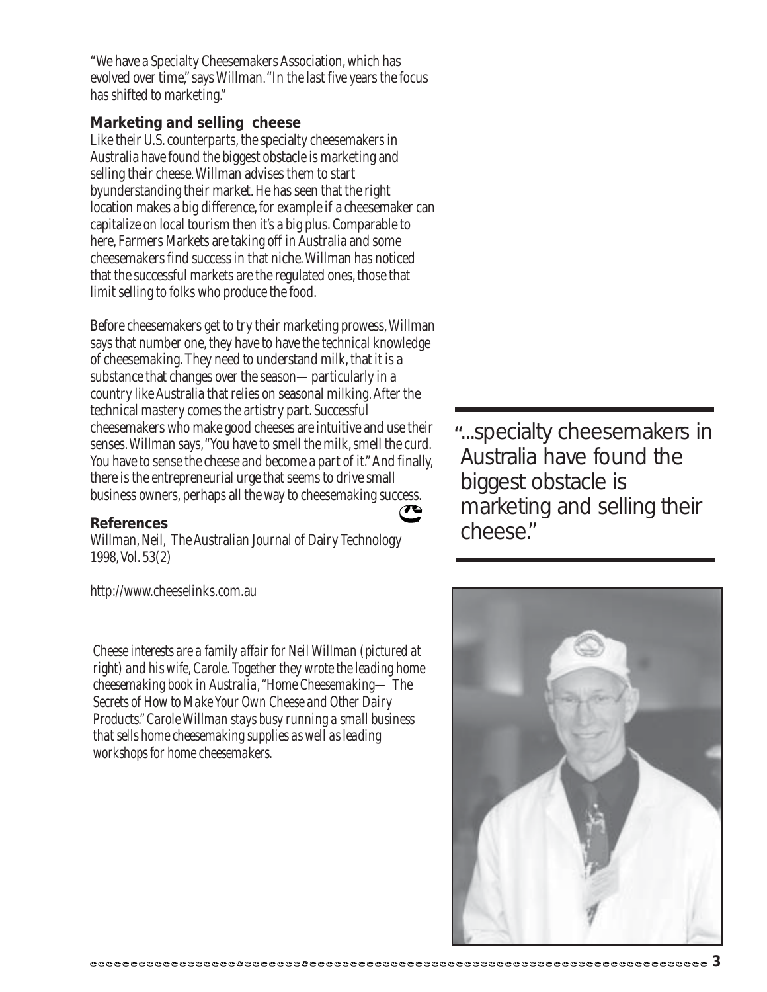"We have a Specialty Cheesemakers Association, which has evolved over time," says Willman. "In the last five years the focus has shifted to marketing."

### **Marketing and selling cheese**

Like their U.S. counterparts, the specialty cheesemakers in Australia have found the biggest obstacle is marketing and selling their cheese. Willman advises them to start byunderstanding their market. He has seen that the right location makes a big difference, for example if a cheesemaker can capitalize on local tourism then it's a big plus. Comparable to here, Farmers Markets are taking off in Australia and some cheesemakers find success in that niche. Willman has noticed that the successful markets are the regulated ones, those that limit selling to folks who produce the food.

Before cheesemakers get to try their marketing prowess, Willman says that number one, they have to have the technical knowledge of cheesemaking. They need to understand milk, that it is a substance that changes over the season—particularly in a country like Australia that relies on seasonal milking. After the technical mastery comes the artistry part. Successful cheesemakers who make good cheeses are intuitive and use their senses. Willman says, "You have to smell the milk, smell the curd. You have to sense the cheese and become a part of it." And finally, there is the entrepreneurial urge that seems to drive small business owners, perhaps all the way to cheesemaking success.

#### **References**

Willman, Neil, The Australian Journal of Dairy Technology 1998, Vol. 53(2)

http://www.cheeselinks.com.au

*Cheese interests are a family affair for Neil Willman (pictured at right) and his wife, Carole. Together they wrote the leading home cheesemaking book in Australia, "Home Cheesemaking— The Secrets of How to Make Your Own Cheese and Other Dairy Products." Carole Willman stays busy running a small business that sells home cheesemaking supplies as well as leading workshops for home cheesemakers.*

...specialty cheesemakers in "Australia have found the biggest obstacle is marketing and selling their cheese."



 $\sigma$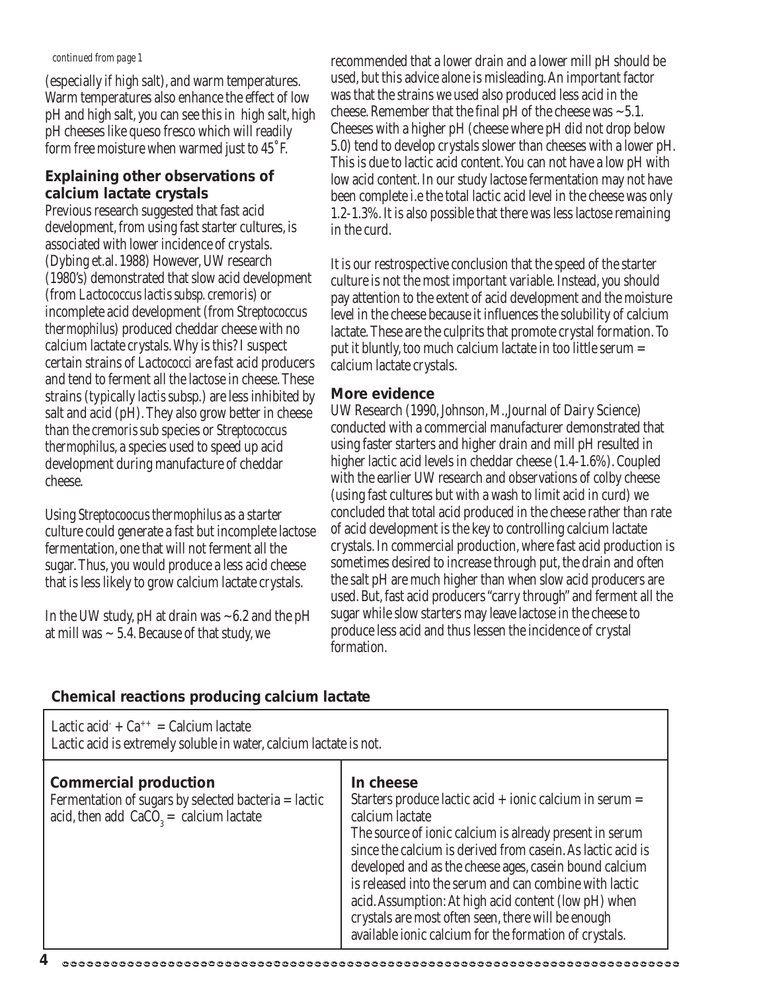(especially if high salt), and warm temperatures. Warm temperatures also enhance the effect of low pH and high salt, you can see this in high salt, high pH cheeses like queso fresco which will readily form free moisture when warmed just to 45˚F.

### **Explaining other observations of calcium lactate crystals**

Previous research suggested that fast acid development, from using fast starter cultures, is associated with lower incidence of crystals. (Dybing et.al. 1988) However, UW research (1980's) demonstrated that slow acid development (from *Lactococcus lactis subsp. cremoris*) or incomplete acid development (from *Streptococcus thermophilus*) produced cheddar cheese with no calcium lactate crystals. Why is this? I suspect certain strains of *Lactococci* are fast acid producers and tend to ferment all the lactose in cheese. These strains (typically *lactis* subsp.) are less inhibited by salt and acid (pH). They also grow better in cheese than the *cremoris* sub species or *Streptococcus thermophilus*, a species used to speed up acid development during manufacture of cheddar cheese.

Using *Streptocoocus thermophilus* as a starter culture could generate a fast but incomplete lactose fermentation, one that will not ferment all the sugar. Thus, you would produce a less acid cheese that is less likely to grow calcium lactate crystals.

In the UW study, pH at drain was  $\sim 6.2$  and the pH at mill was  $\sim$  5.4. Because of that study, we

*continued from page 1* recommended that a lower drain and a lower mill pH should be used, but this advice alone is misleading. An important factor was that the strains we used also produced less acid in the cheese. Remember that the final pH of the cheese was  $\sim$  5.1. Cheeses with a higher pH (cheese where pH did not drop below 5.0) tend to develop crystals slower than cheeses with a lower pH. This is due to lactic acid content. You can not have a low pH with low acid content. In our study lactose fermentation may not have been complete i.e the total lactic acid level in the cheese was only 1.2-1.3%. It is also possible that there was less lactose remaining in the curd.

> It is our restrospective conclusion that the speed of the starter culture is not the most important variable. Instead, you should pay attention to the extent of acid development and the moisture level in the cheese because it influences the solubility of calcium lactate. These are the culprits that promote crystal formation. To put it bluntly, too much calcium lactate in too little serum = calcium lactate crystals.

### **More evidence**

UW Research (1990, Johnson, M.,Journal of Dairy Science) conducted with a commercial manufacturer demonstrated that using faster starters and higher drain and mill pH resulted in higher lactic acid levels in cheddar cheese (1.4-1.6%). Coupled with the earlier UW research and observations of colby cheese (using fast cultures but with a wash to limit acid in curd) we concluded that total acid produced in the cheese rather than rate of acid development is the key to controlling calcium lactate crystals. In commercial production, where fast acid production is sometimes desired to increase through put, the drain and often the salt pH are much higher than when slow acid producers are used. But, fast acid producers "carry through" and ferment all the sugar while slow starters may leave lactose in the cheese to produce less acid and thus lessen the incidence of crystal formation.

### **Chemical reactions producing calcium lactate**

| In cheese<br><b>Commercial production</b><br>Fermentation of sugars by selected bacteria = lactic<br>Starters produce lactic acid $+$ ionic calcium in serum $=$                                                                                                                                                                                                                                                    | Lactic acid $+ Ca^{++} =$ Calcium lactate<br>Lactic acid is extremely soluble in water, calcium lactate is not. |                 |
|---------------------------------------------------------------------------------------------------------------------------------------------------------------------------------------------------------------------------------------------------------------------------------------------------------------------------------------------------------------------------------------------------------------------|-----------------------------------------------------------------------------------------------------------------|-----------------|
| The source of ionic calcium is already present in serum<br>since the calcium is derived from casein. As lactic acid is<br>developed and as the cheese ages, case in bound calcium<br>is released into the serum and can combine with lactic<br>acid. Assumption: At high acid content (low pH) when<br>crystals are most often seen, there will be enough<br>available ionic calcium for the formation of crystals. | acid, then add $CaCO3 =$ calcium lactate                                                                        | calcium lactate |

#### **4**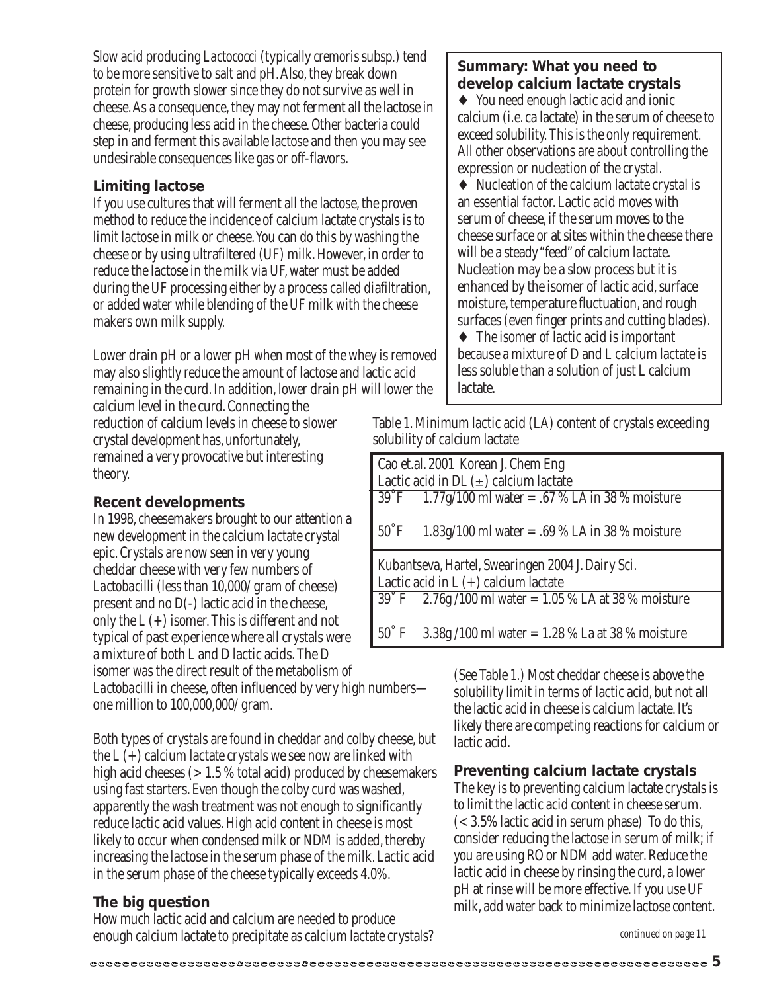Slow acid producing *Lactococci* (typically *cremoris* subsp.) tend to be more sensitive to salt and pH. Also, they break down protein for growth slower since they do not survive as well in cheese. As a consequence, they may not ferment all the lactose in cheese, producing less acid in the cheese. Other bacteria could step in and ferment this available lactose and then you may see undesirable consequences like gas or off-flavors.

### **Limiting lactose**

If you use cultures that will ferment all the lactose, the proven method to reduce the incidence of calcium lactate crystals is to limit lactose in milk or cheese. You can do this by washing the cheese or by using ultrafiltered (UF) milk. However, in order to reduce the lactose in the milk via UF, water must be added during the UF processing either by a process called diafiltration, or added water while blending of the UF milk with the cheese makers own milk supply.

Lower drain pH or a lower pH when most of the whey is removed may also slightly reduce the amount of lactose and lactic acid remaining in the curd. In addition, lower drain pH will lower the

calcium level in the curd. Connecting the reduction of calcium levels in cheese to slower crystal development has, unfortunately, remained a very provocative but interesting theory.

### **Recent developments**

In 1998, cheesemakers brought to our attention a new development in the calcium lactate crystal epic. Crystals are now seen in very young cheddar cheese with very few numbers of *Lactobacilli* (less than 10,000/ gram of cheese) present and no D(-) lactic acid in the cheese, only the L (+) isomer. This is different and not typical of past experience where all crystals were a mixture of both L and D lactic acids. The D isomer was the direct result of the metabolism of *Lactobacilli* in cheese, often influenced by very high numbers one million to 100,000,000/ gram.

Both types of crystals are found in cheddar and colby cheese, but the  $L$  (+) calcium lactate crystals we see now are linked with high acid cheeses  $(>1.5\%$  total acid) produced by cheesemakers using fast starters. Even though the colby curd was washed, apparently the wash treatment was not enough to significantly reduce lactic acid values. High acid content in cheese is most likely to occur when condensed milk or NDM is added, thereby increasing the lactose in the serum phase of the milk. Lactic acid in the serum phase of the cheese typically exceeds 4.0%.

### **The big question**

How much lactic acid and calcium are needed to produce enough calcium lactate to precipitate as calcium lactate crystals?

### **Summary: What you need to develop calcium lactate crystals**

♦ You need enough lactic acid and ionic calcium (i.e. ca lactate) in the serum of cheese to exceed solubility. This is the only requirement. All other observations are about controlling the expression or nucleation of the crystal.

♦ Nucleation of the calcium lactate crystal is an essential factor. Lactic acid moves with serum of cheese, if the serum moves to the cheese surface or at sites within the cheese there will be a steady"feed" of calcium lactate. Nucleation may be a slow process but it is enhanced by the isomer of lactic acid, surface moisture, temperature fluctuation, and rough surfaces (even finger prints and cutting blades).

♦ The isomer of lactic acid is important because a mixture of D and L calcium lactate is less soluble than a solution of just L calcium lactate.

Table 1. Minimum lactic acid (LA) content of crystals exceeding solubility of calcium lactate

|                | Cao et.al. 2001 Korean J. Chem Eng                      |
|----------------|---------------------------------------------------------|
|                | Lactic acid in DL $(\pm)$ calcium lactate               |
| 39°F           | $1.77$ g/100 ml water = .67 % LA in 38 % moisture       |
|                |                                                         |
| $50^{\circ}$ F | 1.83g/100 ml water = .69 % LA in 38 % moisture          |
|                |                                                         |
|                |                                                         |
|                | Kubantseva, Hartel, Swearingen 2004 J. Dairy Sci.       |
|                | Lactic acid in $L (+)$ calcium lactate                  |
|                | $39°$ F 2.76g/100 ml water = 1.05 % LA at 38 % moisture |
|                |                                                         |

(See Table 1.) Most cheddar cheese is above the solubility limit in terms of lactic acid, but not all the lactic acid in cheese is calcium lactate. It's likely there are competing reactions for calcium or lactic acid.

### **Preventing calcium lactate crystals**

The key is to preventing calcium lactate crystals is to limit the lactic acid content in cheese serum. (< 3.5% lactic acid in serum phase) To do this, consider reducing the lactose in serum of milk; if you are using RO or NDM add water. Reduce the lactic acid in cheese by rinsing the curd, a lower pH at rinse will be more effective. If you use UF milk, add water back to minimize lactose content.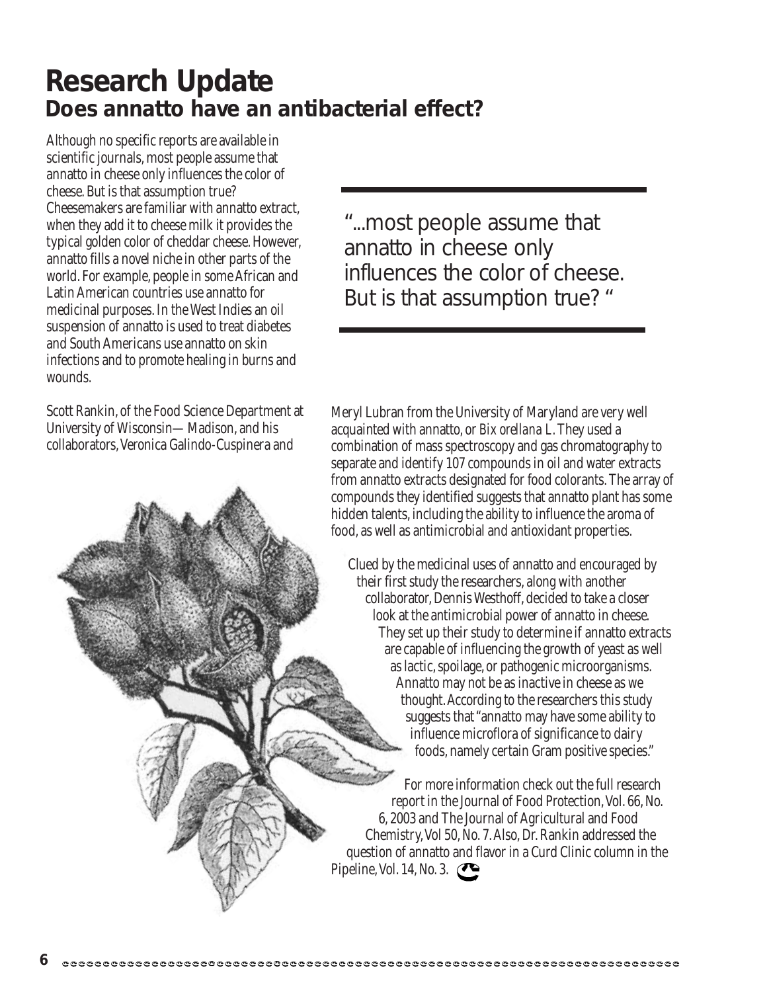### **Research Update Does annatto have an antibacterial effect?**

Although no specific reports are available in scientific journals, most people assume that annatto in cheese only influences the color of cheese. But is that assumption true? Cheesemakers are familiar with annatto extract, when they add it to cheese milk it provides the typical golden color of cheddar cheese. However, annatto fills a novel niche in other parts of the world. For example, people in some African and Latin American countries use annatto for medicinal purposes. In the West Indies an oil suspension of annatto is used to treat diabetes and South Americans use annatto on skin infections and to promote healing in burns and wounds.

Scott Rankin, of the Food Science Department at University of Wisconsin—Madison, and his collaborators, Veronica Galindo-Cuspinera and

"...most people assume that annatto in cheese only influences the color of cheese. But is that assumption true? "

Meryl Lubran from the University of Maryland are very well acquainted with annatto, or *Bix orellana L*. They used a combination of mass spectroscopy and gas chromatography to separate and identify 107 compounds in oil and water extracts from annatto extracts designated for food colorants. The array of compounds they identified suggests that annatto plant has some hidden talents, including the ability to influence the aroma of food, as well as antimicrobial and antioxidant properties.

Clued by the medicinal uses of annatto and encouraged by their first study the researchers, along with another collaborator, Dennis Westhoff, decided to take a closer look at the antimicrobial power of annatto in cheese. They set up their study to determine if annatto extracts are capable of influencing the growth of yeast as well as lactic, spoilage, or pathogenic microorganisms. Annatto may not be as inactive in cheese as we thought. According to the researchers this study suggests that "annatto may have some ability to influence microflora of significance to dairy foods, namely certain Gram positive species."

For more information check out the full research report in the Journal of Food Protection, Vol. 66, No. 6, 2003 and The Journal of Agricultural and Food Chemistry, Vol 50, No. 7. Also, Dr. Rankin addressed the question of annatto and flavor in a Curd Clinic column in the Pipeline, Vol. 14, No. 3.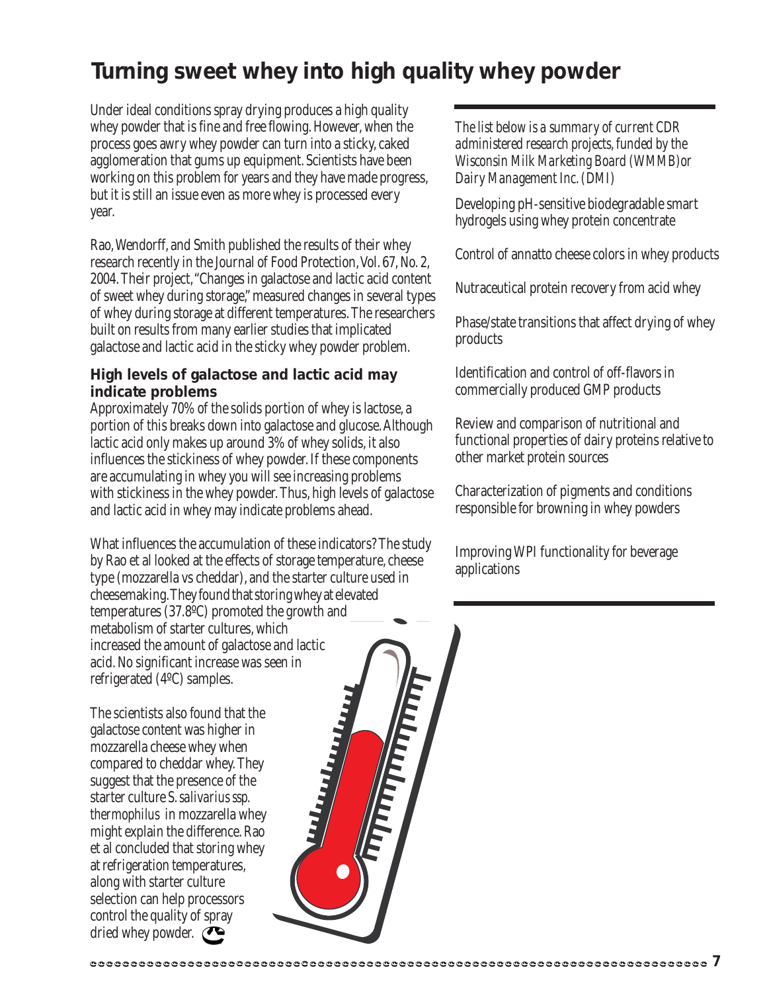### **Turning sweet whey into high quality whey powder**

Under ideal conditions spray drying produces a high quality whey powder that is fine and free flowing. However, when the process goes awry whey powder can turn into a sticky, caked agglomeration that gums up equipment. Scientists have been working on this problem for years and they have made progress, but it is still an issue even as more whey is processed every year.

Rao, Wendorff, and Smith published the results of their whey research recently in the Journal of Food Protection, Vol. 67, No. 2, 2004. Their project, "Changes in galactose and lactic acid content of sweet whey during storage," measured changes in several types of whey during storage at different temperatures. The researchers built on results from many earlier studies that implicated galactose and lactic acid in the sticky whey powder problem.

### **High levels of galactose and lactic acid may indicate problems**

Approximately 70% of the solids portion of whey is lactose, a portion of this breaks down into galactose and glucose. Although lactic acid only makes up around 3% of whey solids, it also influences the stickiness of whey powder. If these components are accumulating in whey you will see increasing problems with stickiness in the whey powder. Thus, high levels of galactose and lactic acid in whey may indicate problems ahead.

What influences the accumulation of these indicators? The study by Rao et al looked at the effects of storage temperature, cheese type (mozzarella vs cheddar), and the starter culture used in cheesemaking. They found thatstoring whey at elevated temperatures (37.8ºC) promoted the growth and metabolism of starter cultures, which increased the amount of galactose and lactic acid. No significant increase was seen in refrigerated (4ºC) samples. **Indiana** 

The scientists also found that the galactose content was higher in mozzarella cheese whey when compared to cheddar whey. They suggest that the presence of the starter culture *S. salivarius ssp. thermophilus* in mozzarella whey might explain the difference. Rao et al concluded that storing whey at refrigeration temperatures, along with starter culture selection can help processors control the quality of spray dried whey powder.

*The list below is a summary of current CDR administered research projects, funded by the Wisconsin Milk Marketing Board (WMMB)or Dairy Management Inc. (DMI)*

Developing pH-sensitive biodegradable smart hydrogels using whey protein concentrate

Control of annatto cheese colors in whey products

Nutraceutical protein recovery from acid whey

Phase/state transitions that affect drying of whey products

Identification and control of off-flavors in commercially produced GMP products

Review and comparison of nutritional and functional properties of dairy proteins relative to other market protein sources

Characterization of pigments and conditions responsible for browning in whey powders

Improving WPI functionality for beverage applications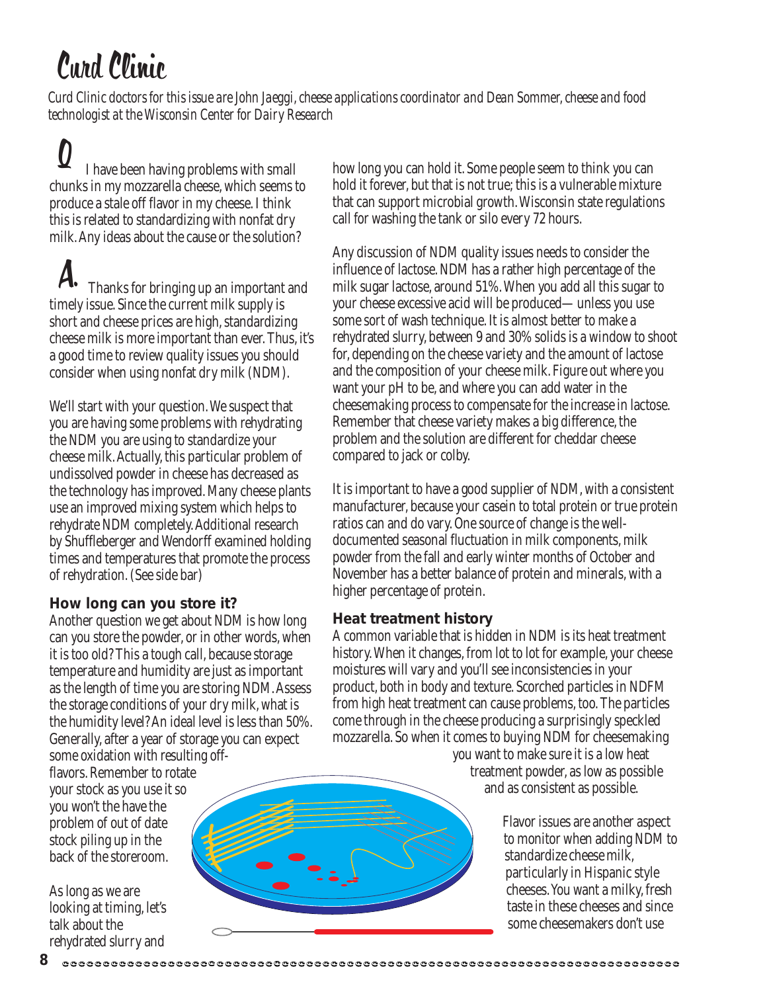# Curd Clinic

*Curd Clinic doctors for this issue are John Jaeggi, cheese applications coordinator and Dean Sommer, cheese and food technologist at the Wisconsin Center for Dairy Research*

 I have been having problems with small chunks in my mozzarella cheese, which seems to produce a stale off flavor in my cheese. I think this is related to standardizing with nonfat dry milk. Any ideas about the cause or the solution? Q

 Thanks for bringing up an important and timely issue. Since the current milk supply is short and cheese prices are high, standardizing cheese milk is more important than ever. Thus, it's a good time to review quality issues you should consider when using nonfat dry milk (NDM). A.

We'll start with your question. We suspect that you are having some problems with rehydrating the NDM you are using to standardize your cheese milk. Actually, this particular problem of undissolved powder in cheese has decreased as the technology has improved. Many cheese plants use an improved mixing system which helps to rehydrate NDM completely. Additional research by Shuffleberger and Wendorff examined holding times and temperatures that promote the process of rehydration. (See side bar)

### **How long can you store it?**

Another question we get about NDM is how long can you store the powder, or in other words, when it is too old? This a tough call, because storage temperature and humidity are just as important as the length of time you are storing NDM. Assess the storage conditions of your dry milk, what is the humidity level? An ideal level is less than 50%. Generally, after a year of storage you can expect some oxidation with resulting off-

flavors. Remember to rotate your stock as you use it so you won't the have the problem of out of date stock piling up in the back of the storeroom.

As long as we are looking at timing, let's talk about the rehydrated slurry and

how long you can hold it. Some people seem to think you can hold it forever, but that is not true; this is a vulnerable mixture that can support microbial growth. Wisconsin state regulations call for washing the tank or silo every 72 hours.

Any discussion of NDM quality issues needs to consider the influence of lactose. NDM has a rather high percentage of the milk sugar lactose, around 51%. When you add all this sugar to your cheese excessive acid will be produced—unless you use some sort of wash technique. It is almost better to make a rehydrated slurry, between 9 and 30% solids is a window to shoot for, depending on the cheese variety and the amount of lactose and the composition of your cheese milk. Figure out where you want your pH to be, and where you can add water in the cheesemaking process to compensate for the increase in lactose. Remember that cheese variety makes a big difference, the problem and the solution are different for cheddar cheese compared to jack or colby.

It is important to have a good supplier of NDM, with a consistent manufacturer, because your casein to total protein or true protein ratios can and do vary. One source of change is the welldocumented seasonal fluctuation in milk components, milk powder from the fall and early winter months of October and November has a better balance of protein and minerals, with a higher percentage of protein.

### **Heat treatment history**

A common variable that is hidden in NDM is its heat treatment history. When it changes, from lot to lot for example, your cheese moistures will vary and you'll see inconsistencies in your product, both in body and texture. Scorched particles in NDFM from high heat treatment can cause problems, too. The particles come through in the cheese producing a surprisingly speckled mozzarella. So when it comes to buying NDM for cheesemaking

you want to make sure it is a low heat treatment powder, as low as possible and as consistent as possible.

> Flavor issues are another aspect to monitor when adding NDM to standardize cheese milk, particularly in Hispanic style cheeses. You want a milky, fresh taste in these cheeses and since some cheesemakers don't use

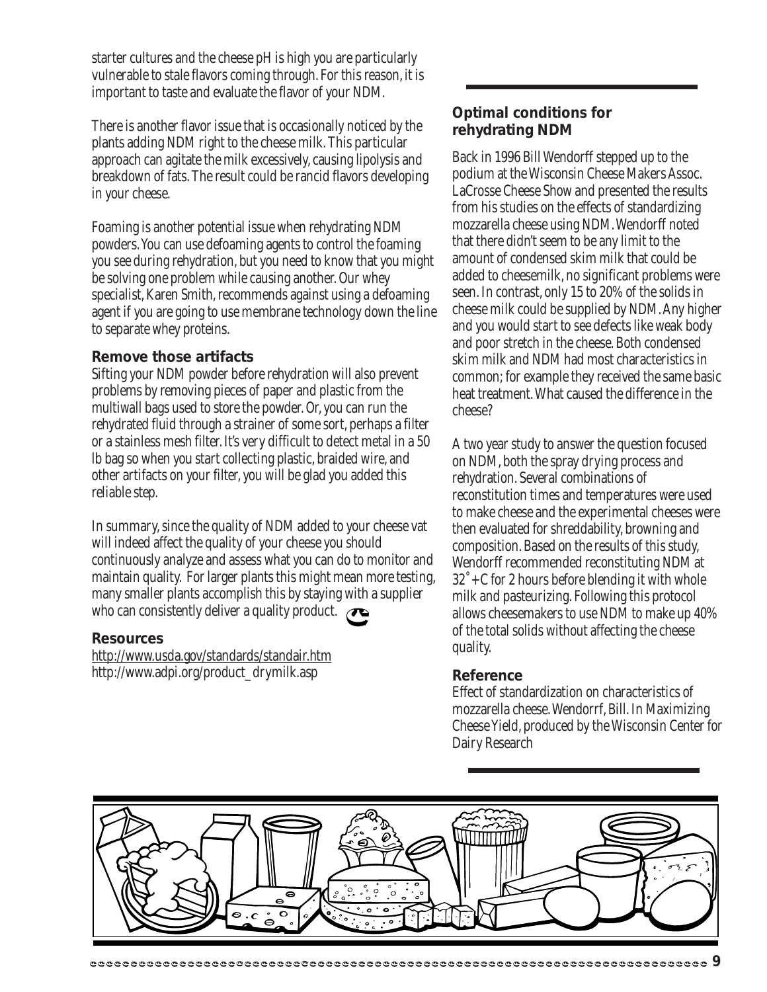starter cultures and the cheese pH is high you are particularly vulnerable to stale flavors coming through. For this reason, it is important to taste and evaluate the flavor of your NDM.

There is another flavor issue that is occasionally noticed by the plants adding NDM right to the cheese milk. This particular approach can agitate the milk excessively, causing lipolysis and breakdown of fats. The result could be rancid flavors developing in your cheese.

Foaming is another potential issue when rehydrating NDM powders. You can use defoaming agents to control the foaming you see during rehydration, but you need to know that you might be solving one problem while causing another. Our whey specialist, Karen Smith, recommends against using a defoaming agent if you are going to use membrane technology down the line to separate whey proteins.

### **Remove those artifacts**

Sifting your NDM powder before rehydration will also prevent problems by removing pieces of paper and plastic from the multiwall bags used to store the powder. Or, you can run the rehydrated fluid through a strainer of some sort, perhaps a filter or a stainless mesh filter. It's very difficult to detect metal in a 50 lb bag so when you start collecting plastic, braided wire, and other artifacts on your filter, you will be glad you added this reliable step.

In summary, since the quality of NDM added to your cheese vat will indeed affect the quality of your cheese you should continuously analyze and assess what you can do to monitor and maintain quality. For larger plants this might mean more testing, many smaller plants accomplish this by staying with a supplier who can consistently deliver a quality product.  $\bullet$ 

### **Resources**

http://www.usda.gov/standards/standair.htm http://www.adpi.org/product\_drymilk.asp

### **Optimal conditions for rehydrating NDM**

Back in 1996 Bill Wendorff stepped up to the podium at the Wisconsin Cheese Makers Assoc. LaCrosse Cheese Show and presented the results from his studies on the effects of standardizing mozzarella cheese using NDM. Wendorff noted that there didn't seem to be any limit to the amount of condensed skim milk that could be added to cheesemilk, no significant problems were seen. In contrast, only 15 to 20% of the solids in cheese milk could be supplied by NDM. Any higher and you would start to see defects like weak body and poor stretch in the cheese. Both condensed skim milk and NDM had most characteristics in common; for example they received the same basic heat treatment. What caused the difference in the cheese?

A two year study to answer the question focused on NDM, both the spray drying process and rehydration. Several combinations of reconstitution times and temperatures were used to make cheese and the experimental cheeses were then evaluated for shreddability, browning and composition. Based on the results of this study, Wendorff recommended reconstituting NDM at 32˚+C for 2 hours before blending it with whole milk and pasteurizing. Following this protocol allows cheesemakers to use NDM to make up 40% of the total solids without affecting the cheese quality.

### **Reference**

Effect of standardization on characteristics of mozzarella cheese. Wendorrf, Bill. In Maximizing Cheese Yield, produced by the Wisconsin Center for Dairy Research

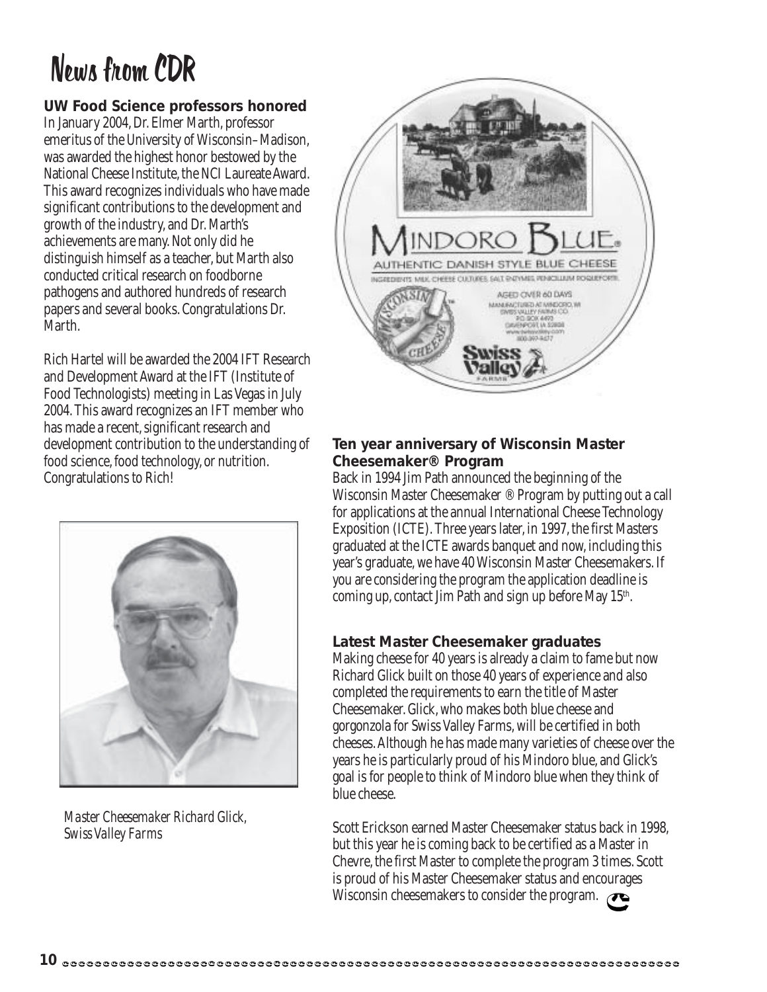# News from CDR

### **UW Food Science professors honored**

In January 2004, Dr. Elmer Marth, professor emeritus of the University of Wisconsin–Madison, was awarded the highest honor bestowed by the National Cheese Institute, the NCI Laureate Award. This award recognizes individuals who have made significant contributions to the development and growth of the industry, and Dr. Marth's achievements are many. Not only did he distinguish himself as a teacher, but Marth also conducted critical research on foodborne pathogens and authored hundreds of research papers and several books. Congratulations Dr. Marth.

Rich Hartel will be awarded the 2004 IFT Research and Development Award at the IFT (Institute of Food Technologists) meeting in Las Vegas in July 2004. This award recognizes an IFT member who has made a recent, significant research and development contribution to the understanding of food science, food technology, or nutrition. Congratulations to Rich!



*Master Cheesemaker Richard Glick, Swiss Valley Farms*



### **Ten year anniversary of Wisconsin Master Cheesemaker® Program**

Back in 1994 Jim Path announced the beginning of the Wisconsin Master Cheesemaker ® Program by putting out a call for applications at the annual International Cheese Technology Exposition (ICTE). Three years later, in 1997, the first Masters graduated at the ICTE awards banquet and now, including this year's graduate, we have 40 Wisconsin Master Cheesemakers. If you are considering the program the application deadline is coming up, contact Jim Path and sign up before May 15<sup>th</sup>.

### **Latest Master Cheesemaker graduates**

Making cheese for 40 years is already a claim to fame but now Richard Glick built on those 40 years of experience and also completed the requirements to earn the title of Master Cheesemaker. Glick, who makes both blue cheese and gorgonzola for Swiss Valley Farms, will be certified in both cheeses. Although he has made many varieties of cheese over the years he is particularly proud of his Mindoro blue, and Glick's goal is for people to think of Mindoro blue when they think of blue cheese.

Scott Erickson earned Master Cheesemaker status back in 1998, but this year he is coming back to be certified as a Master in Chevre, the first Master to complete the program 3 times. Scott is proud of his Master Cheesemaker status and encourages Wisconsin cheesemakers to consider the program.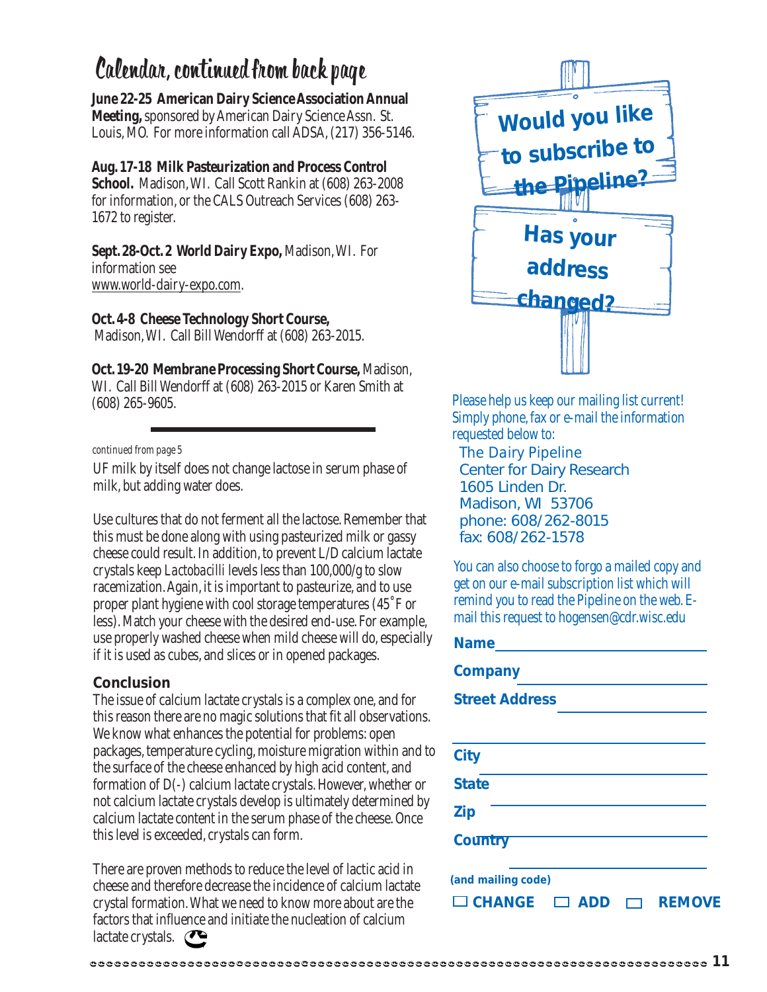### Calendar, continued from back page

**June 22-25 American Dairy Science Association Annual Meeting,** sponsored by American Dairy Science Assn. St. Louis, MO. For more information call ADSA, (217) 356-5146.

**Aug. 17-18 Milk Pasteurization and Process Control School.** Madison, WI. Call Scott Rankin at (608) 263-2008 for information, or the CALS Outreach Services (608) 263- 1672 to register.

**Sept. 28-Oct. 2 World Dairy Expo,** Madison, WI. For information see www.world-dairy-expo.com.

**Oct. 4-8 Cheese Technology Short Course,** Madison, WI. Call Bill Wendorff at (608) 263-2015.

**Oct. 19-20 Membrane Processing Short Course,** Madison, WI. Call Bill Wendorff at (608) 263-2015 or Karen Smith at (608) 265-9605.

#### *continued from page 5*

UF milk by itself does not change lactose in serum phase of milk, but adding water does.

Use cultures that do not ferment all the lactose. Remember that this must be done along with using pasteurized milk or gassy cheese could result. In addition, to prevent L/D calcium lactate crystals keep *Lactobacilli* levels less than 100,000/g to slow racemization. Again, it is important to pasteurize, and to use proper plant hygiene with cool storage temperatures (45˚F or less). Match your cheese with the desired end-use. For example, use properly washed cheese when mild cheese will do, especially if it is used as cubes, and slices or in opened packages.

### **Conclusion**

The issue of calcium lactate crystals is a complex one, and for this reason there are no magic solutions that fit all observations. We know what enhances the potential for problems: open packages, temperature cycling, moisture migration within and to the surface of the cheese enhanced by high acid content, and formation of D(-) calcium lactate crystals. However, whether or not calcium lactate crystals develop is ultimately determined by calcium lactate content in the serum phase of the cheese. Once this level is exceeded, crystals can form.

There are proven methods to reduce the level of lactic acid in cheese and therefore decrease the incidence of calcium lactate crystal formation. What we need to know more about are the factors that influence and initiate the nucleation of calcium lactate crystals.



Please help us keep our mailing list current! Simply phone, fax or e-mail the information requested below to:

*The Dairy Pipeline* Center for Dairy Research 1605 Linden Dr. Madison, WI 53706 phone: 608/262-8015 fax: 608/262-1578

You can also choose to forgo a mailed copy and get on our e-mail subscription list which will remind you to read the Pipeline on the web. Email this request to hogensen@cdr.wisc.edu